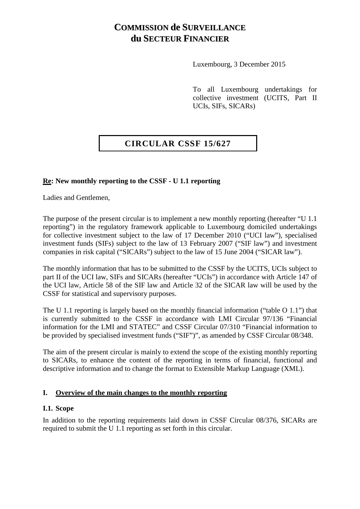# **COMMISSION de SURVEILLANCE du SECTEUR FINANCIER**

Luxembourg, 3 December 2015

To all Luxembourg undertakings for collective investment (UCITS, Part II UCIs, SIFs, SICARs)

## **CIRCULAR CSSF 15/627**

#### **Re: New monthly reporting to the CSSF - U 1.1 reporting**

Ladies and Gentlemen,

The purpose of the present circular is to implement a new monthly reporting (hereafter "U 1.1 reporting") in the regulatory framework applicable to Luxembourg domiciled undertakings for collective investment subject to the law of 17 December 2010 ("UCI law"), specialised investment funds (SIFs) subject to the law of 13 February 2007 ("SIF law") and investment companies in risk capital ("SICARs") subject to the law of 15 June 2004 ("SICAR law").

The monthly information that has to be submitted to the CSSF by the UCITS, UCIs subject to part II of the UCI law, SIFs and SICARs (hereafter "UCIs") in accordance with Article 147 of the UCI law, Article 58 of the SIF law and Article 32 of the SICAR law will be used by the CSSF for statistical and supervisory purposes.

The U 1.1 reporting is largely based on the monthly financial information ("table O 1.1") that is currently submitted to the CSSF in accordance with LMI Circular 97/136 "Financial information for the LMI and STATEC" and CSSF Circular 07/310 "Financial information to be provided by specialised investment funds ("SIF")", as amended by CSSF Circular 08/348.

The aim of the present circular is mainly to extend the scope of the existing monthly reporting to SICARs, to enhance the content of the reporting in terms of financial, functional and descriptive information and to change the format to Extensible Markup Language (XML).

#### **I. Overview of the main changes to the monthly reporting**

#### **I.1. Scope**

In addition to the reporting requirements laid down in CSSF Circular 08/376, SICARs are required to submit the U 1.1 reporting as set forth in this circular.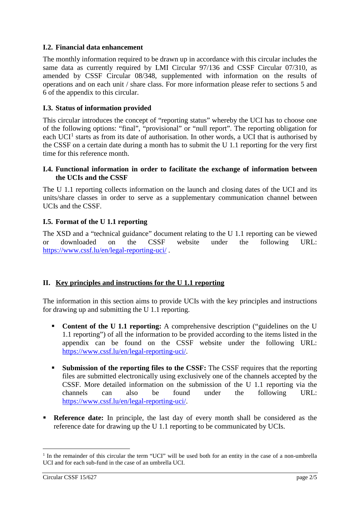## **I.2. Financial data enhancement**

The monthly information required to be drawn up in accordance with this circular includes the same data as currently required by LMI Circular 97/136 and CSSF Circular 07/310, as amended by CSSF Circular 08/348, supplemented with information on the results of operations and on each unit / share class. For more information please refer to sections 5 and 6 of the appendix to this circular.

## **I.3. Status of information provided**

This circular introduces the concept of "reporting status" whereby the UCI has to choose one of the following options: "final", "provisional" or "null report". The reporting obligation for each  $UCI<sup>1</sup>$  $UCI<sup>1</sup>$  $UCI<sup>1</sup>$  starts as from its date of authorisation. In other words, a UCI that is authorised by the CSSF on a certain date during a month has to submit the U 1.1 reporting for the very first time for this reference month.

#### **I.4. Functional information in order to facilitate the exchange of information between the UCIs and the CSSF**

The U 1.1 reporting collects information on the launch and closing dates of the UCI and its units/share classes in order to serve as a supplementary communication channel between UCIs and the CSSF.

## **I.5. Format of the U 1.1 reporting**

The XSD and a "technical guidance" document relating to the U 1.1 reporting can be viewed or downloaded on the CSSF website under the following URL: <https://www.cssf.lu/en/legal-reporting-uci/> .

#### **II. Key principles and instructions for the U 1.1 reporting**

The information in this section aims to provide UCIs with the key principles and instructions for drawing up and submitting the U 1.1 reporting.

- **Content of the U 1.1 reporting:** A comprehensive description ("guidelines on the U 1.1 reporting") of all the information to be provided according to the items listed in the appendix can be found on the CSSF website under the following URL: [https://www.cssf.lu/en/legal-reporting-uci/.](https://www.cssf.lu/en/legal-reporting-uci/)
- **Submission of the reporting files to the CSSF:** The CSSF requires that the reporting files are submitted electronically using exclusively one of the channels accepted by the CSSF. More detailed information on the submission of the U 1.1 reporting via the channels can also be found under the following URL: [https://www.cssf.lu/en/legal-reporting-uci/.](https://www.cssf.lu/en/legal-reporting-uci/)
- **Reference date:** In principle, the last day of every month shall be considered as the reference date for drawing up the U 1.1 reporting to be communicated by UCIs.

<span id="page-1-0"></span><sup>&</sup>lt;sup>1</sup> In the remainder of this circular the term "UCI" will be used both for an entity in the case of a non-umbrella UCI and for each sub-fund in the case of an umbrella UCI.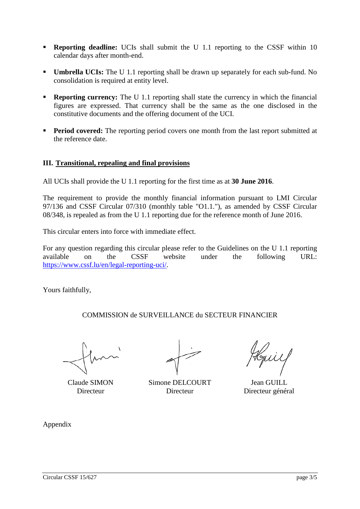- **Reporting deadline:** UCIs shall submit the U 1.1 reporting to the CSSF within 10 calendar days after month-end.
- **Umbrella UCIs:** The U 1.1 reporting shall be drawn up separately for each sub-fund. No consolidation is required at entity level.
- **Reporting currency:** The U 1.1 reporting shall state the currency in which the financial figures are expressed. That currency shall be the same as the one disclosed in the constitutive documents and the offering document of the UCI.
- **Period covered:** The reporting period covers one month from the last report submitted at the reference date.

## **III. Transitional, repealing and final provisions**

All UCIs shall provide the U 1.1 reporting for the first time as at **30 June 2016**.

The requirement to provide the monthly financial information pursuant to LMI Circular 97/136 and CSSF Circular 07/310 (monthly table "O1.1."), as amended by CSSF Circular 08/348, is repealed as from the U 1.1 reporting due for the reference month of June 2016.

This circular enters into force with immediate effect.

For any question regarding this circular please refer to the Guidelines on the U 1.1 reporting available on the CSSF website under the following URL: [https://www.cssf.lu/en/legal-reporting-uci/.](https://www.cssf.lu/en/legal-reporting-uci/)

Yours faithfully,

COMMISSION de SURVEILLANCE du SECTEUR FINANCIER

Claude SIMON Simone DELCOURT Jean GUILL Directeur Directeur Directeur général

Appendix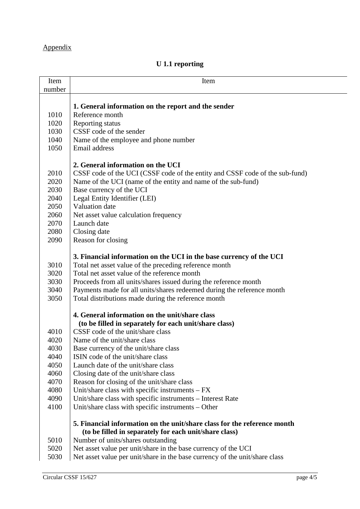# Appendix

## **U 1.1 reporting**

| Item   | Item                                                                         |
|--------|------------------------------------------------------------------------------|
| number |                                                                              |
|        |                                                                              |
|        | 1. General information on the report and the sender                          |
| 1010   | Reference month                                                              |
| 1020   | Reporting status                                                             |
| 1030   | CSSF code of the sender                                                      |
| 1040   | Name of the employee and phone number                                        |
| 1050   | Email address                                                                |
|        |                                                                              |
|        | 2. General information on the UCI                                            |
| 2010   | CSSF code of the UCI (CSSF code of the entity and CSSF code of the sub-fund) |
| 2020   | Name of the UCI (name of the entity and name of the sub-fund)                |
| 2030   | Base currency of the UCI                                                     |
| 2040   | Legal Entity Identifier (LEI)                                                |
| 2050   | Valuation date                                                               |
| 2060   | Net asset value calculation frequency                                        |
| 2070   | Launch date                                                                  |
| 2080   | Closing date                                                                 |
| 2090   | Reason for closing                                                           |
|        |                                                                              |
|        | 3. Financial information on the UCI in the base currency of the UCI          |
| 3010   | Total net asset value of the preceding reference month                       |
| 3020   | Total net asset value of the reference month                                 |
| 3030   |                                                                              |
| 3040   | Proceeds from all units/shares issued during the reference month             |
|        | Payments made for all units/shares redeemed during the reference month       |
| 3050   | Total distributions made during the reference month                          |
|        | 4. General information on the unit/share class                               |
|        | (to be filled in separately for each unit/share class)                       |
| 4010   | CSSF code of the unit/share class                                            |
| 4020   | Name of the unit/share class                                                 |
| 4030   | Base currency of the unit/share class                                        |
| 4040   | ISIN code of the unit/share class                                            |
| 4050   | Launch date of the unit/share class                                          |
|        |                                                                              |
| 4060   | Closing date of the unit/share class                                         |
| 4070   | Reason for closing of the unit/share class                                   |
| 4080   | Unit/share class with specific instruments $-FX$                             |
| 4090   | Unit/share class with specific instruments – Interest Rate                   |
| 4100   | Unit/share class with specific instruments – Other                           |
|        | 5. Financial information on the unit/share class for the reference month     |
|        | (to be filled in separately for each unit/share class)                       |
| 5010   | Number of units/shares outstanding                                           |
|        |                                                                              |
| 5020   | Net asset value per unit/share in the base currency of the UCI               |
| 5030   | Net asset value per unit/share in the base currency of the unit/share class  |